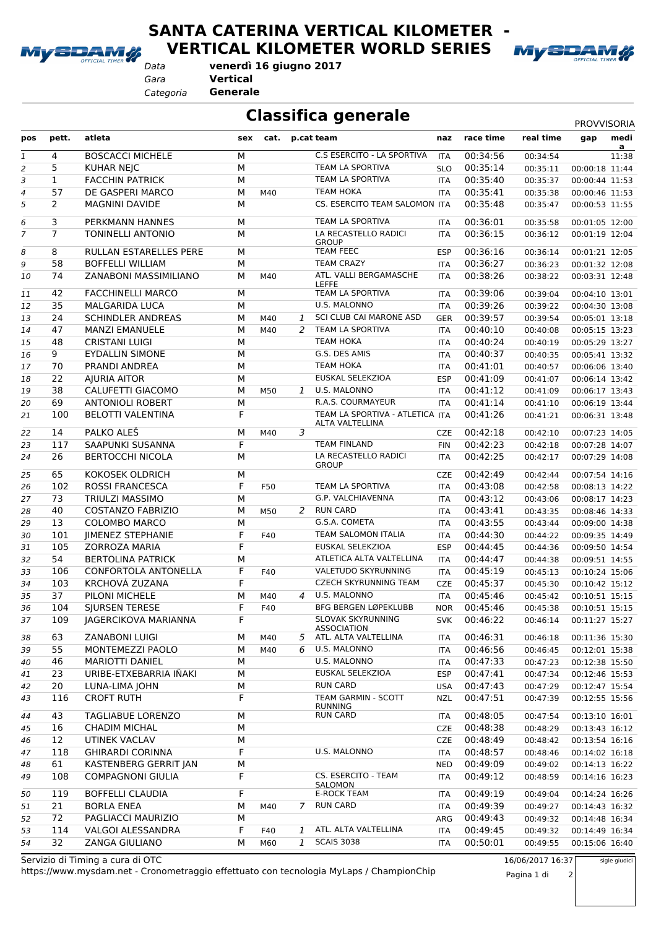

**SANTA CATERINA VERTICAL KILOMETER -**

**VERTICAL KILOMETER WORLD SERIES**



*Data*

**venerdì 16 giugno 2017**

*Gara* **Vertical**

*Categoria* **Generale**

**Classifica generale** PROVISORIA

| pos      | pett.          | atleta                                              |        | sex cat. p.cat team |              |                                                      | naz        | race time            | real time            | gap                              | medi                    |
|----------|----------------|-----------------------------------------------------|--------|---------------------|--------------|------------------------------------------------------|------------|----------------------|----------------------|----------------------------------|-------------------------|
| 1        | 4              | <b>BOSCACCI MICHELE</b>                             | M      |                     |              | C.S ESERCITO - LA SPORTIVA                           | <b>ITA</b> | 00:34:56             | 00:34:54             |                                  | $\overline{a}$<br>11:38 |
| 2        | 5              | <b>KUHAR NEJC</b>                                   | M      |                     |              | <b>TEAM LA SPORTIVA</b>                              | <b>SLO</b> | 00:35:14             | 00:35:11             | 00:00:18 11:44                   |                         |
| 3        | $\mathbf{1}$   | <b>FACCHIN PATRICK</b>                              | M      |                     |              | TEAM LA SPORTIVA                                     | <b>ITA</b> | 00:35:40             | 00:35:37             | 00:00:44 11:53                   |                         |
| 4        | 57             | DE GASPERI MARCO                                    | М      | M40                 |              | <b>TEAM HOKA</b>                                     | <b>ITA</b> | 00:35:41             | 00:35:38             | 00:00:46 11:53                   |                         |
| 5        | $\overline{2}$ | <b>MAGNINI DAVIDE</b>                               | M      |                     |              | CS. ESERCITO TEAM SALOMON ITA                        |            | 00:35:48             | 00:35:47             | 00:00:53 11:55                   |                         |
| 6        | 3              | PERKMANN HANNES                                     | М      |                     |              | TEAM LA SPORTIVA                                     | <b>ITA</b> | 00:36:01             | 00:35:58             | 00:01:05 12:00                   |                         |
| 7        | $\overline{7}$ | <b>TONINELLI ANTONIO</b>                            | M      |                     |              | LA RECASTELLO RADICI<br><b>GROUP</b>                 | <b>ITA</b> | 00:36:15             | 00:36:12             | 00:01:19 12:04                   |                         |
| 8        | 8              | RULLAN ESTARELLES PERE                              | М      |                     |              | <b>TEAM FEEC</b>                                     | <b>ESP</b> | 00:36:16             | 00:36:14             | 00:01:21 12:05                   |                         |
| 9        | 58             | <b>BOFFELLI WILLIAM</b>                             | М      |                     |              | <b>TEAM CRAZY</b>                                    | <b>ITA</b> | 00:36:27             | 00:36:23             | 00:01:32 12:08                   |                         |
| 10       | 74             | ZANABONI MASSIMILIANO                               | М      | M40                 |              | ATL. VALLI BERGAMASCHE<br><b>LEFFE</b>               | ITA        | 00:38:26             | 00:38:22             | 00:03:31 12:48                   |                         |
| 11       | 42             | <b>FACCHINELLI MARCO</b>                            | М      |                     |              | TEAM LA SPORTIVA                                     | <b>ITA</b> | 00:39:06             | 00:39:04             | 00:04:10 13:01                   |                         |
| 12       | 35             | <b>MALGARIDA LUCA</b>                               | М      |                     |              | U.S. MALONNO                                         | ITA        | 00:39:26             | 00:39:22             | 00:04:30 13:08                   |                         |
| 13       | 24             | SCHINDLER ANDREAS                                   | М      | M40                 | 1            | SCI CLUB CAI MARONE ASD                              | <b>GER</b> | 00:39:57             | 00:39:54             | 00:05:01 13:18                   |                         |
| 14       | 47             | <b>MANZI EMANUELE</b>                               | M      | M40                 | 2            | TEAM LA SPORTIVA                                     | ITA        | 00:40:10             | 00:40:08             | 00:05:15 13:23                   |                         |
| 15       | 48             | <b>CRISTANI LUIGI</b>                               | M      |                     |              | <b>TEAM HOKA</b>                                     | ITA        | 00:40:24             | 00:40:19             | 00:05:29 13:27                   |                         |
| 16       | 9              | <b>EYDALLIN SIMONE</b>                              | M      |                     |              | G.S. DES AMIS                                        | <b>ITA</b> | 00:40:37             | 00:40:35             | 00:05:41 13:32                   |                         |
| 17       | 70             | PRANDI ANDREA                                       | M      |                     |              | <b>TEAM HOKA</b>                                     | <b>ITA</b> | 00:41:01             | 00:40:57             | 00:06:06 13:40                   |                         |
| 18       | 22             | <b>AJURIA AITOR</b>                                 | M      |                     |              | EUSKAL SELEKZIOA                                     | <b>ESP</b> | 00:41:09             | 00:41:07             | 00:06:14 13:42                   |                         |
| 19       | 38             | CALUFETTI GIACOMO                                   | M      | M50                 | $\mathbf{1}$ | U.S. MALONNO<br>R.A.S. COURMAYEUR                    | <b>ITA</b> | 00:41:12             | 00:41:09             | 00:06:17 13:43                   |                         |
| 20<br>21 | 69<br>100      | <b>ANTONIOLI ROBERT</b><br><b>BELOTTI VALENTINA</b> | M<br>F |                     |              | TEAM LA SPORTIVA - ATLETICA ITA                      | <b>ITA</b> | 00:41:14<br>00:41:26 | 00:41:10<br>00:41:21 | 00:06:19 13:44<br>00:06:31 13:48 |                         |
| 22       | 14             | PALKO ALEŠ                                          | М      | M40                 | 3            | ALTA VALTELLINA                                      | <b>CZE</b> | 00:42:18             | 00:42:10             | 00:07:23 14:05                   |                         |
| 23       | 117            | SAAPUNKI SUSANNA                                    | F      |                     |              | <b>TEAM FINLAND</b>                                  | <b>FIN</b> | 00:42:23             | 00:42:18             | 00:07:28 14:07                   |                         |
| 24       | 26             | <b>BERTOCCHI NICOLA</b>                             | М      |                     |              | LA RECASTELLO RADICI<br><b>GROUP</b>                 | <b>ITA</b> | 00:42:25             | 00:42:17             | 00:07:29 14:08                   |                         |
| 25       | 65             | KOKOSEK OLDRICH                                     | М      |                     |              |                                                      | <b>CZE</b> | 00:42:49             | 00:42:44             | 00:07:54 14:16                   |                         |
| 26       | 102            | <b>ROSSI FRANCESCA</b>                              | F      | F50                 |              | TEAM LA SPORTIVA                                     | <b>ITA</b> | 00:43:08             | 00:42:58             | 00:08:13 14:22                   |                         |
| 27       | 73             | <b>TRIULZI MASSIMO</b>                              | M      |                     |              | G.P. VALCHIAVENNA                                    | <b>ITA</b> | 00:43:12             | 00:43:06             | 00:08:17 14:23                   |                         |
| 28       | 40             | <b>COSTANZO FABRIZIO</b>                            | M      | M50                 | 2            | <b>RUN CARD</b>                                      | <b>ITA</b> | 00:43:41             | 00:43:35             | 00:08:46 14:33                   |                         |
| 29       | 13             | <b>COLOMBO MARCO</b>                                | М      |                     |              | G.S.A. COMETA                                        | <b>ITA</b> | 00:43:55             | 00:43:44             | 00:09:00 14:38                   |                         |
| 30       | 101            | JIMENEZ STEPHANIE                                   | F      | F40                 |              | <b>TEAM SALOMON ITALIA</b>                           | ITA        | 00:44:30             | 00:44:22             | 00:09:35 14:49                   |                         |
| 31       | 105            | <b>ZORROZA MARIA</b>                                | F      |                     |              | EUSKAL SELEKZIOA                                     | <b>ESP</b> | 00:44:45             | 00:44:36             | 00:09:50 14:54                   |                         |
| 32       | 54             | <b>BERTOLINA PATRICK</b>                            | М      |                     |              | ATLETICA ALTA VALTELLINA                             | <b>ITA</b> | 00:44:47             | 00:44:38             | 00:09:51 14:55                   |                         |
| 33       | 106            | <b>CONFORTOLA ANTONELLA</b>                         | F      | F40                 |              | VALETUDO SKYRUNNING                                  | ITA        | 00:45:19             | 00:45:13             | 00:10:24 15:06                   |                         |
| 34       | 103            | KRCHOVÁ ZUZANA                                      | F      |                     |              | <b>CZECH SKYRUNNING TEAM</b>                         | <b>CZE</b> | 00:45:37             | 00:45:30             | 00:10:42 15:12                   |                         |
| 35       | 37             | PILONI MICHELE                                      | M      | M40                 |              | 4 U.S. MALONNO                                       | <b>ITA</b> | 00:45:46             | 00:45:42             | 00:10:51 15:15                   |                         |
| 36       | 104            | <b>SIURSEN TERESE</b>                               | F      | F40                 |              | <b>BFG BERGEN LØPEKLUBB</b>                          | <b>NOR</b> | 00:45:46             | 00:45:38             | 00:10:51 15:15                   |                         |
| 37       | 109            | JAGERCIKOVA MARIANNA                                | F      |                     |              | <b>SLOVAK SKYRUNNING</b><br><b>ASSOCIATION</b>       | <b>SVK</b> | 00:46:22             | 00:46:14             | 00:11:27 15:27                   |                         |
| 38       | 63             | <b>ZANABONI LUIGI</b>                               | М      | M40                 | 5            | ATL. ALTA VALTELLINA                                 | ITA        | 00:46:31             | 00:46:18             | 00:11:36 15:30                   |                         |
| 39       | 55             | MONTEMEZZI PAOLO                                    | M      | M40                 | 6            | U.S. MALONNO                                         | ITA        | 00:46:56             | 00:46:45             | 00:12:01 15:38                   |                         |
| 40       | 46             | <b>MARIOTTI DANIEL</b>                              | M      |                     |              | U.S. MALONNO                                         | ITA        | 00:47:33             | 00:47:23             | 00:12:38 15:50                   |                         |
| 41       | 23             | URIBE-ETXEBARRIA IÑAKI                              | М      |                     |              | EUSKAL SELEKZIOA                                     | <b>ESP</b> | 00:47:41             | 00:47:34             | 00:12:46 15:53                   |                         |
| 42       | 20             | LUNA-LIMA JOHN                                      | М      |                     |              | <b>RUN CARD</b>                                      | <b>USA</b> | 00:47:43             | 00:47:29             | 00:12:47 15:54                   |                         |
| 43       | 116            | <b>CROFT RUTH</b>                                   | F      |                     |              | TEAM GARMIN - SCOTT<br><b>RUNNING</b>                | NZL        | 00:47:51             | 00:47:39             | 00:12:55 15:56                   |                         |
| 44       | 43             | <b>TAGLIABUE LORENZO</b>                            | М      |                     |              | <b>RUN CARD</b>                                      | ITA        | 00:48:05             | 00:47:54             | 00:13:10 16:01                   |                         |
| 45       | 16             | <b>CHADIM MICHAL</b>                                | М      |                     |              |                                                      | <b>CZE</b> | 00:48:38             | 00:48:29             | 00:13:43 16:12                   |                         |
| 46       | 12             | UTINEK VACLAV                                       | M      |                     |              |                                                      | <b>CZE</b> | 00:48:49             | 00:48:42             | 00:13:54 16:16                   |                         |
| 47       | 118            | <b>GHIRARDI CORINNA</b>                             | F      |                     |              | U.S. MALONNO                                         | ITA        | 00:48:57             | 00:48:46             | 00:14:02 16:18                   |                         |
| 48       | 61             | <b>KASTENBERG GERRIT JAN</b>                        | М      |                     |              |                                                      | <b>NED</b> | 00:49:09             | 00:49:02             | 00:14:13 16:22                   |                         |
| 49<br>50 | 108<br>119     | <b>COMPAGNONI GIULIA</b><br><b>BOFFELLI CLAUDIA</b> | F<br>F |                     |              | CS. ESERCITO - TEAM<br>SALOMON<br><b>E-ROCK TEAM</b> | ITA<br>ITA | 00:49:12<br>00:49:19 | 00:48:59<br>00:49:04 | 00:14:16 16:23<br>00:14:24 16:26 |                         |
| 51       | 21             | <b>BORLA ENEA</b>                                   | М      | M40                 | 7            | <b>RUN CARD</b>                                      | ITA        | 00:49:39             | 00:49:27             | 00:14:43 16:32                   |                         |
| 52       | 72             | PAGLIACCI MAURIZIO                                  | М      |                     |              |                                                      | ARG        | 00:49:43             | 00:49:32             | 00:14:48 16:34                   |                         |
| 53       | 114            | VALGOI ALESSANDRA                                   | F      | F40                 | 1            | ATL. ALTA VALTELLINA                                 | ITA        | 00:49:45             | 00:49:32             | 00:14:49 16:34                   |                         |
| 54       | 32             | ZANGA GIULIANO                                      | М      | M60                 | 1            | <b>SCAIS 3038</b>                                    | ITA        | 00:50:01             | 00:49:55             | 00:15:06 16:40                   |                         |
|          |                |                                                     |        |                     |              |                                                      |            |                      |                      |                                  |                         |

https://www.mysdam.net - Cronometraggio effettuato con tecnologia MyLaps / ChampionChip Servizio di Timing a cura di OTC 16/06/2017 16:37

Pagina 1 di 2

sigle giudici